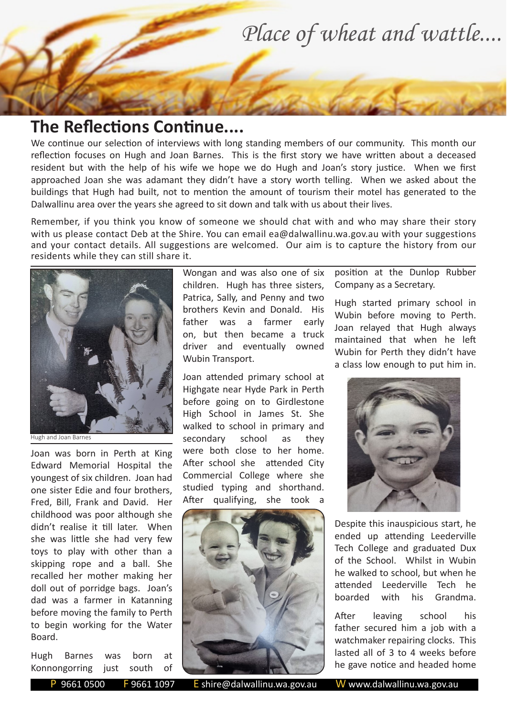

## **The Reflections Continue....**

We continue our selection of interviews with long standing members of our community. This month our reflection focuses on Hugh and Joan Barnes. This is the first story we have written about a deceased resident but with the help of his wife we hope we do Hugh and Joan's story justice. When we first approached Joan she was adamant they didn't have a story worth telling. When we asked about the buildings that Hugh had built, not to mention the amount of tourism their motel has generated to the Dalwallinu area over the years she agreed to sit down and talk with us about their lives.

Remember, if you think you know of someone we should chat with and who may share their story with us please contact Deb at the Shire. You can email ea@dalwallinu.wa.gov.au with your suggestions and your contact details. All suggestions are welcomed. Our aim is to capture the history from our residents while they can still share it.



Hugh and Joan Barnes

Joan was born in Perth at King Edward Memorial Hospital the youngest of six children. Joan had one sister Edie and four brothers, Fred, Bill, Frank and David. Her childhood was poor although she didn't realise it till later. When she was little she had very few toys to play with other than a skipping rope and a ball. She recalled her mother making her doll out of porridge bags. Joan's dad was a farmer in Katanning before moving the family to Perth to begin working for the Water Board.

Hugh Barnes was born at Konnongorring just south of Wongan and was also one of six children. Hugh has three sisters, Patrica, Sally, and Penny and two brothers Kevin and Donald. His father was a farmer early on, but then became a truck driver and eventually owned Wubin Transport.

Joan attended primary school at Highgate near Hyde Park in Perth before going on to Girdlestone High School in James St. She walked to school in primary and secondary school as they were both close to her home. After school she attended City Commercial College where she studied typing and shorthand. After qualifying, she took a



position at the Dunlop Rubber Company as a Secretary.

Hugh started primary school in Wubin before moving to Perth. Joan relayed that Hugh always maintained that when he left Wubin for Perth they didn't have a class low enough to put him in.



Despite this inauspicious start, he ended up attending Leederville Tech College and graduated Dux of the School. Whilst in Wubin he walked to school, but when he attended Leederville Tech he boarded with his Grandma.

After leaving school his father secured him a job with a watchmaker repairing clocks. This lasted all of 3 to 4 weeks before he gave notice and headed home

P 9661 0500 F 9661 1097 E shire@dalwallinu.wa.gov.au W www.dalwallinu.wa.gov.au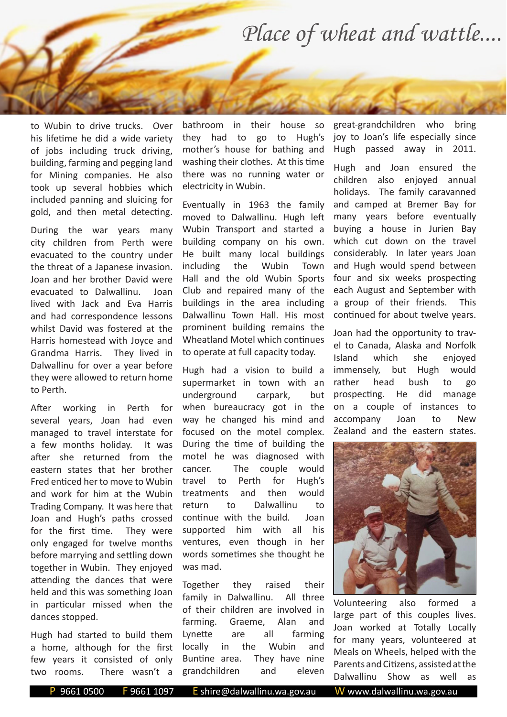## *Place of wheat and wattle....*

to Wubin to drive trucks. Over his lifetime he did a wide variety of jobs including truck driving, building, farming and pegging land for Mining companies. He also took up several hobbies which included panning and sluicing for gold, and then metal detecting.

During the war years many city children from Perth were evacuated to the country under the threat of a Japanese invasion. Joan and her brother David were evacuated to Dalwallinu. Joan lived with Jack and Eva Harris and had correspondence lessons whilst David was fostered at the Harris homestead with Joyce and Grandma Harris. They lived in Dalwallinu for over a year before they were allowed to return home to Perth.

After working in Perth for several years, Joan had even managed to travel interstate for a few months holiday. It was after she returned from the eastern states that her brother Fred enticed her to move to Wubin and work for him at the Wubin Trading Company. It was here that Joan and Hugh's paths crossed for the first time. They were only engaged for twelve months before marrying and settling down together in Wubin. They enjoyed attending the dances that were held and this was something Joan in particular missed when the dances stopped.

Hugh had started to build them a home, although for the first few years it consisted of only two rooms. There wasn't a

bathroom in their house so they had to go to Hugh's mother's house for bathing and washing their clothes. At this time there was no running water or electricity in Wubin.

Eventually in 1963 the family moved to Dalwallinu. Hugh left Wubin Transport and started a building company on his own. He built many local buildings including the Wubin Town Hall and the old Wubin Sports Club and repaired many of the buildings in the area including Dalwallinu Town Hall. His most prominent building remains the Wheatland Motel which continues to operate at full capacity today.

Hugh had a vision to build a supermarket in town with an underground carpark, but when bureaucracy got in the way he changed his mind and focused on the motel complex. During the time of building the motel he was diagnosed with cancer. The couple would travel to Perth for Hugh's treatments and then would return to Dalwallinu to continue with the build. Joan supported him with all his ventures, even though in her words sometimes she thought he was mad.

Together they raised their family in Dalwallinu. All three of their children are involved in farming. Graeme, Alan and Lynette are all farming locally in the Wubin and Buntine area. They have nine grandchildren and eleven

great-grandchildren who bring joy to Joan's life especially since Hugh passed away in 2011.

Hugh and Joan ensured the children also enjoyed annual holidays. The family caravanned and camped at Bremer Bay for many years before eventually buying a house in Jurien Bay which cut down on the travel considerably. In later years Joan and Hugh would spend between four and six weeks prospecting each August and September with a group of their friends. This continued for about twelve years.

Joan had the opportunity to travel to Canada, Alaska and Norfolk Island which she enjoyed immensely, but Hugh would rather head bush to go prospecting. He did manage on a couple of instances to accompany Joan to New Zealand and the eastern states.



Volunteering also formed a large part of this couples lives. Joan worked at Totally Locally for many years, volunteered at Meals on Wheels, helped with the Parents and Citizens, assisted at the Dalwallinu Show as well as